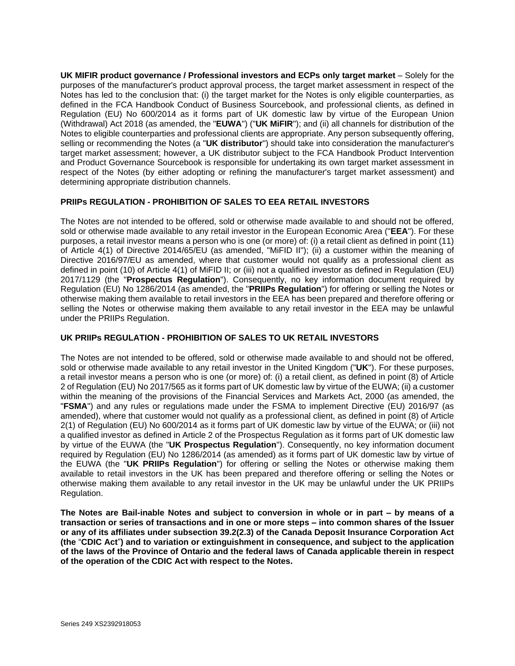**UK MIFIR product governance / Professional investors and ECPs only target market** – Solely for the purposes of the manufacturer's product approval process, the target market assessment in respect of the Notes has led to the conclusion that: (i) the target market for the Notes is only eligible counterparties, as defined in the FCA Handbook Conduct of Business Sourcebook, and professional clients, as defined in Regulation (EU) No 600/2014 as it forms part of UK domestic law by virtue of the European Union (Withdrawal) Act 2018 (as amended, the "**EUWA**") ("**UK MiFIR**"); and (ii) all channels for distribution of the Notes to eligible counterparties and professional clients are appropriate. Any person subsequently offering, selling or recommending the Notes (a "**UK distributor**") should take into consideration the manufacturer's target market assessment; however, a UK distributor subject to the FCA Handbook Product Intervention and Product Governance Sourcebook is responsible for undertaking its own target market assessment in respect of the Notes (by either adopting or refining the manufacturer's target market assessment) and determining appropriate distribution channels.

## **PRIIPs REGULATION - PROHIBITION OF SALES TO EEA RETAIL INVESTORS**

The Notes are not intended to be offered, sold or otherwise made available to and should not be offered, sold or otherwise made available to any retail investor in the European Economic Area ("**EEA**"). For these purposes, a retail investor means a person who is one (or more) of: (i) a retail client as defined in point (11) of Article 4(1) of Directive 2014/65/EU (as amended, "MiFID II"); (ii) a customer within the meaning of Directive 2016/97/EU as amended, where that customer would not qualify as a professional client as defined in point (10) of Article 4(1) of MiFID II; or (iii) not a qualified investor as defined in Regulation (EU) 2017/1129 (the "**Prospectus Regulation**"). Consequently, no key information document required by Regulation (EU) No 1286/2014 (as amended, the "**PRIIPs Regulation**") for offering or selling the Notes or otherwise making them available to retail investors in the EEA has been prepared and therefore offering or selling the Notes or otherwise making them available to any retail investor in the EEA may be unlawful under the PRIIPs Regulation.

# **UK PRIIPs REGULATION - PROHIBITION OF SALES TO UK RETAIL INVESTORS**

The Notes are not intended to be offered, sold or otherwise made available to and should not be offered, sold or otherwise made available to any retail investor in the United Kingdom ("**UK**"). For these purposes, a retail investor means a person who is one (or more) of: (i) a retail client, as defined in point (8) of Article 2 of Regulation (EU) No 2017/565 as it forms part of UK domestic law by virtue of the EUWA; (ii) a customer within the meaning of the provisions of the Financial Services and Markets Act, 2000 (as amended, the "**FSMA**") and any rules or regulations made under the FSMA to implement Directive (EU) 2016/97 (as amended), where that customer would not qualify as a professional client, as defined in point (8) of Article 2(1) of Regulation (EU) No 600/2014 as it forms part of UK domestic law by virtue of the EUWA; or (iii) not a qualified investor as defined in Article 2 of the Prospectus Regulation as it forms part of UK domestic law by virtue of the EUWA (the "**UK Prospectus Regulation**"). Consequently, no key information document required by Regulation (EU) No 1286/2014 (as amended) as it forms part of UK domestic law by virtue of the EUWA (the "**UK PRIIPs Regulation**") for offering or selling the Notes or otherwise making them available to retail investors in the UK has been prepared and therefore offering or selling the Notes or otherwise making them available to any retail investor in the UK may be unlawful under the UK PRIIPs Regulation.

**The Notes are Bail-inable Notes and subject to conversion in whole or in part – by means of a transaction or series of transactions and in one or more steps – into common shares of the Issuer or any of its affiliates under subsection 39.2(2.3) of the Canada Deposit Insurance Corporation Act (the** "**CDIC Act**"**) and to variation or extinguishment in consequence, and subject to the application of the laws of the Province of Ontario and the federal laws of Canada applicable therein in respect of the operation of the CDIC Act with respect to the Notes.**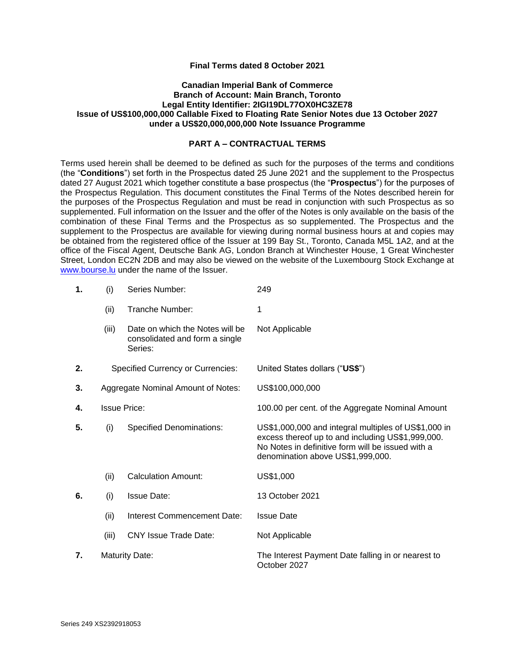#### **Final Terms dated 8 October 2021**

#### **Canadian Imperial Bank of Commerce Branch of Account: Main Branch, Toronto Legal Entity Identifier: 2IGI19DL77OX0HC3ZE78 Issue of US\$100,000,000 Callable Fixed to Floating Rate Senior Notes due 13 October 2027 under a US\$20,000,000,000 Note Issuance Programme**

## **PART A – CONTRACTUAL TERMS**

Terms used herein shall be deemed to be defined as such for the purposes of the terms and conditions (the "**Conditions**") set forth in the Prospectus dated 25 June 2021 and the supplement to the Prospectus dated 27 August 2021 which together constitute a base prospectus (the "**Prospectus**") for the purposes of the Prospectus Regulation. This document constitutes the Final Terms of the Notes described herein for the purposes of the Prospectus Regulation and must be read in conjunction with such Prospectus as so supplemented. Full information on the Issuer and the offer of the Notes is only available on the basis of the combination of these Final Terms and the Prospectus as so supplemented. The Prospectus and the supplement to the Prospectus are available for viewing during normal business hours at and copies may be obtained from the registered office of the Issuer at 199 Bay St., Toronto, Canada M5L 1A2, and at the office of the Fiscal Agent, Deutsche Bank AG, London Branch at Winchester House, 1 Great Winchester Street, London EC2N 2DB and may also be viewed on the website of the Luxembourg Stock Exchange at [www.bourse.lu](http://www.bourse.lu/) under the name of the Issuer.

| 1. | (i)                                      | Series Number:                                                               | 249                                                                                                                                                                                                 |
|----|------------------------------------------|------------------------------------------------------------------------------|-----------------------------------------------------------------------------------------------------------------------------------------------------------------------------------------------------|
|    | (ii)                                     | Tranche Number:                                                              | 1                                                                                                                                                                                                   |
|    | (iii)                                    | Date on which the Notes will be<br>consolidated and form a single<br>Series: | Not Applicable                                                                                                                                                                                      |
| 2. | <b>Specified Currency or Currencies:</b> |                                                                              | United States dollars ("US\$")                                                                                                                                                                      |
| 3. | Aggregate Nominal Amount of Notes:       |                                                                              | US\$100,000,000                                                                                                                                                                                     |
| 4. | <b>Issue Price:</b>                      |                                                                              | 100.00 per cent. of the Aggregate Nominal Amount                                                                                                                                                    |
| 5. | (i)                                      | <b>Specified Denominations:</b>                                              | US\$1,000,000 and integral multiples of US\$1,000 in<br>excess thereof up to and including US\$1,999,000.<br>No Notes in definitive form will be issued with a<br>denomination above US\$1,999,000. |
|    | (ii)                                     | <b>Calculation Amount:</b>                                                   | US\$1,000                                                                                                                                                                                           |
| 6. | (i)                                      | <b>Issue Date:</b>                                                           | 13 October 2021                                                                                                                                                                                     |
|    | (ii)                                     | Interest Commencement Date:                                                  | <b>Issue Date</b>                                                                                                                                                                                   |
|    | (iii)                                    | <b>CNY Issue Trade Date:</b>                                                 | Not Applicable                                                                                                                                                                                      |
| 7. |                                          | <b>Maturity Date:</b>                                                        | The Interest Payment Date falling in or nearest to<br>October 2027                                                                                                                                  |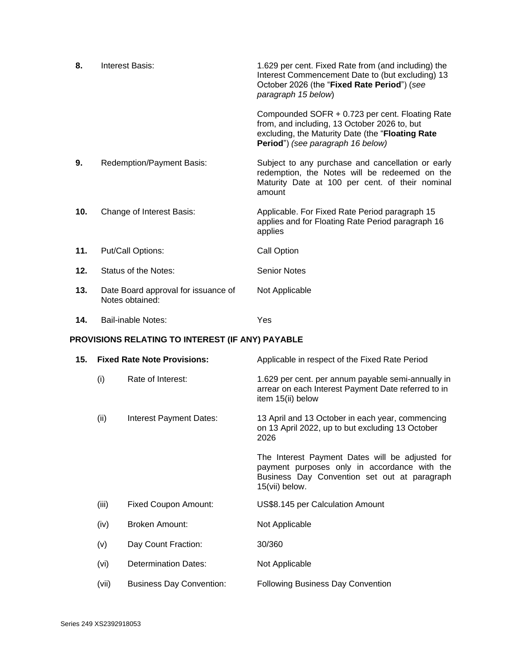| 8.  | Interest Basis:                                        | 1.629 per cent. Fixed Rate from (and including) the<br>Interest Commencement Date to (but excluding) 13<br>October 2026 (the "Fixed Rate Period") (see<br>paragraph 15 below)            |
|-----|--------------------------------------------------------|------------------------------------------------------------------------------------------------------------------------------------------------------------------------------------------|
|     |                                                        | Compounded SOFR + 0.723 per cent. Floating Rate<br>from, and including, 13 October 2026 to, but<br>excluding, the Maturity Date (the "Floating Rate<br>Period") (see paragraph 16 below) |
| 9.  | Redemption/Payment Basis:                              | Subject to any purchase and cancellation or early<br>redemption, the Notes will be redeemed on the<br>Maturity Date at 100 per cent. of their nominal<br>amount                          |
| 10. | Change of Interest Basis:                              | Applicable. For Fixed Rate Period paragraph 15<br>applies and for Floating Rate Period paragraph 16<br>applies                                                                           |
| 11. | Put/Call Options:                                      | Call Option                                                                                                                                                                              |
| 12. | Status of the Notes:                                   | <b>Senior Notes</b>                                                                                                                                                                      |
| 13. | Date Board approval for issuance of<br>Notes obtained: | Not Applicable                                                                                                                                                                           |
| 14. | <b>Bail-inable Notes:</b>                              | Yes                                                                                                                                                                                      |

# **PROVISIONS RELATING TO INTEREST (IF ANY) PAYABLE**

| 15. |       | <b>Fixed Rate Note Provisions:</b> | Applicable in respect of the Fixed Rate Period                                                                                                                    |
|-----|-------|------------------------------------|-------------------------------------------------------------------------------------------------------------------------------------------------------------------|
|     | (i)   | Rate of Interest:                  | 1.629 per cent. per annum payable semi-annually in<br>arrear on each Interest Payment Date referred to in<br>item 15(ii) below                                    |
|     | (ii)  | Interest Payment Dates:            | 13 April and 13 October in each year, commencing<br>on 13 April 2022, up to but excluding 13 October<br>2026                                                      |
|     |       |                                    | The Interest Payment Dates will be adjusted for<br>payment purposes only in accordance with the<br>Business Day Convention set out at paragraph<br>15(vii) below. |
|     | (iii) | <b>Fixed Coupon Amount:</b>        | US\$8.145 per Calculation Amount                                                                                                                                  |
|     | (iv)  | <b>Broken Amount:</b>              | Not Applicable                                                                                                                                                    |
|     | (v)   | Day Count Fraction:                | 30/360                                                                                                                                                            |
|     | (vi)  | <b>Determination Dates:</b>        | Not Applicable                                                                                                                                                    |
|     | (vii) | <b>Business Day Convention:</b>    | <b>Following Business Day Convention</b>                                                                                                                          |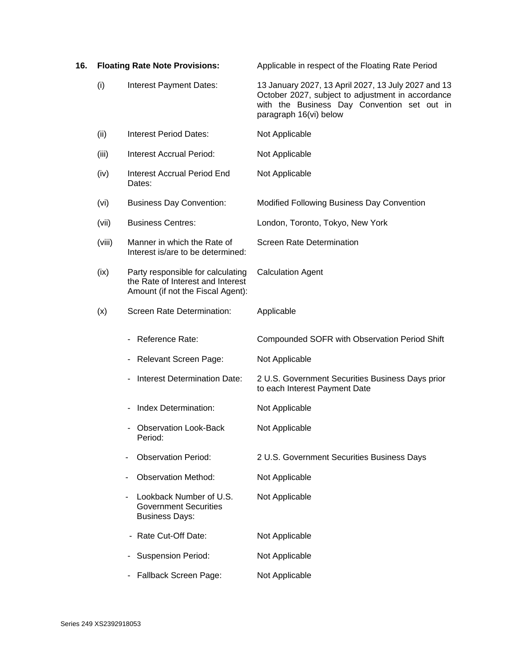| 16. |        | <b>Floating Rate Note Provisions:</b>                                                                       | Applicable in respect of the Floating Rate Period                                                                                                                                 |
|-----|--------|-------------------------------------------------------------------------------------------------------------|-----------------------------------------------------------------------------------------------------------------------------------------------------------------------------------|
|     | (i)    | Interest Payment Dates:                                                                                     | 13 January 2027, 13 April 2027, 13 July 2027 and 13<br>October 2027, subject to adjustment in accordance<br>with the Business Day Convention set out in<br>paragraph 16(vi) below |
|     | (ii)   | Interest Period Dates:                                                                                      | Not Applicable                                                                                                                                                                    |
|     | (iii)  | Interest Accrual Period:                                                                                    | Not Applicable                                                                                                                                                                    |
|     | (iv)   | <b>Interest Accrual Period End</b><br>Dates:                                                                | Not Applicable                                                                                                                                                                    |
|     | (vi)   | <b>Business Day Convention:</b>                                                                             | Modified Following Business Day Convention                                                                                                                                        |
|     | (vii)  | <b>Business Centres:</b>                                                                                    | London, Toronto, Tokyo, New York                                                                                                                                                  |
|     | (viii) | Manner in which the Rate of<br>Interest is/are to be determined:                                            | <b>Screen Rate Determination</b>                                                                                                                                                  |
|     | (ix)   | Party responsible for calculating<br>the Rate of Interest and Interest<br>Amount (if not the Fiscal Agent): | <b>Calculation Agent</b>                                                                                                                                                          |
|     | (x)    | Screen Rate Determination:                                                                                  | Applicable                                                                                                                                                                        |
|     |        | Reference Rate:                                                                                             | Compounded SOFR with Observation Period Shift                                                                                                                                     |
|     |        | - Relevant Screen Page:                                                                                     | Not Applicable                                                                                                                                                                    |
|     |        | <b>Interest Determination Date:</b>                                                                         | 2 U.S. Government Securities Business Days prior<br>to each Interest Payment Date                                                                                                 |
|     |        | Index Determination:                                                                                        | Not Applicable                                                                                                                                                                    |
|     |        | <b>Observation Look-Back</b><br>Period:                                                                     | Not Applicable                                                                                                                                                                    |
|     |        | <b>Observation Period:</b>                                                                                  | 2 U.S. Government Securities Business Days                                                                                                                                        |
|     |        | <b>Observation Method:</b>                                                                                  | Not Applicable                                                                                                                                                                    |
|     |        | Lookback Number of U.S.<br><b>Government Securities</b><br><b>Business Days:</b>                            | Not Applicable                                                                                                                                                                    |
|     |        | - Rate Cut-Off Date:                                                                                        | Not Applicable                                                                                                                                                                    |
|     |        | <b>Suspension Period:</b>                                                                                   | Not Applicable                                                                                                                                                                    |
|     |        | Fallback Screen Page:                                                                                       | Not Applicable                                                                                                                                                                    |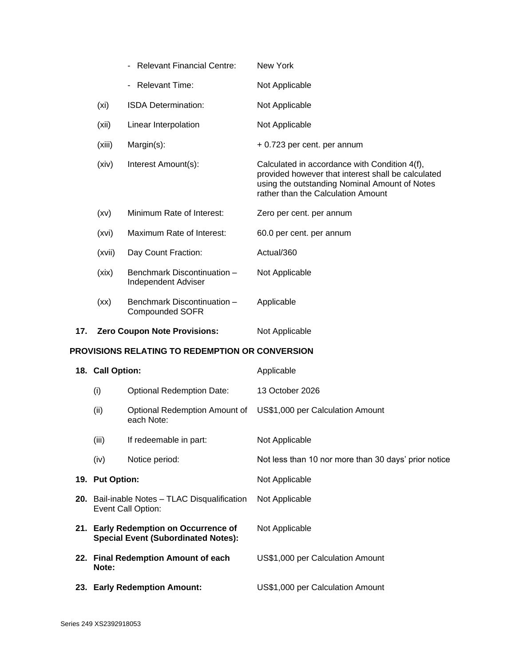|     |                   | <b>Relevant Financial Centre:</b>                                                   | New York                                                                                                                                                                                   |
|-----|-------------------|-------------------------------------------------------------------------------------|--------------------------------------------------------------------------------------------------------------------------------------------------------------------------------------------|
|     |                   | <b>Relevant Time:</b><br>-                                                          | Not Applicable                                                                                                                                                                             |
|     | (x <sub>i</sub> ) | ISDA Determination:                                                                 | Not Applicable                                                                                                                                                                             |
|     | (xii)             | Linear Interpolation                                                                | Not Applicable                                                                                                                                                                             |
|     | (xiii)            | Margin(s):                                                                          | + 0.723 per cent. per annum                                                                                                                                                                |
|     | (xiv)             | Interest Amount(s):                                                                 | Calculated in accordance with Condition 4(f),<br>provided however that interest shall be calculated<br>using the outstanding Nominal Amount of Notes<br>rather than the Calculation Amount |
|     | (xv)              | Minimum Rate of Interest:                                                           | Zero per cent. per annum                                                                                                                                                                   |
|     | (xvi)             | Maximum Rate of Interest:                                                           | 60.0 per cent. per annum                                                                                                                                                                   |
|     | (xvii)            | Day Count Fraction:                                                                 | Actual/360                                                                                                                                                                                 |
|     | (xix)             | Benchmark Discontinuation -<br>Independent Adviser                                  | Not Applicable                                                                                                                                                                             |
|     | (xx)              | Benchmark Discontinuation -<br><b>Compounded SOFR</b>                               | Applicable                                                                                                                                                                                 |
| 17. |                   | <b>Zero Coupon Note Provisions:</b>                                                 | Not Applicable                                                                                                                                                                             |
|     |                   | PROVISIONS RELATING TO REDEMPTION OR CONVERSION                                     |                                                                                                                                                                                            |
|     | 18. Call Option:  |                                                                                     | Applicable                                                                                                                                                                                 |
|     | (i)               | <b>Optional Redemption Date:</b>                                                    | 13 October 2026                                                                                                                                                                            |
|     | (ii)              | Optional Redemption Amount of<br>each Note:                                         | US\$1,000 per Calculation Amount                                                                                                                                                           |
|     |                   |                                                                                     |                                                                                                                                                                                            |
|     | (iii)             | If redeemable in part:                                                              | Not Applicable                                                                                                                                                                             |
|     | (iv)              | Notice period:                                                                      | Not less than 10 nor more than 30 days' prior notice                                                                                                                                       |
|     | 19. Put Option:   |                                                                                     | Not Applicable                                                                                                                                                                             |
|     |                   | 20. Bail-inable Notes - TLAC Disqualification<br>Event Call Option:                 | Not Applicable                                                                                                                                                                             |
|     |                   | 21. Early Redemption on Occurrence of<br><b>Special Event (Subordinated Notes):</b> | Not Applicable                                                                                                                                                                             |
|     | Note:             | 22. Final Redemption Amount of each                                                 | US\$1,000 per Calculation Amount                                                                                                                                                           |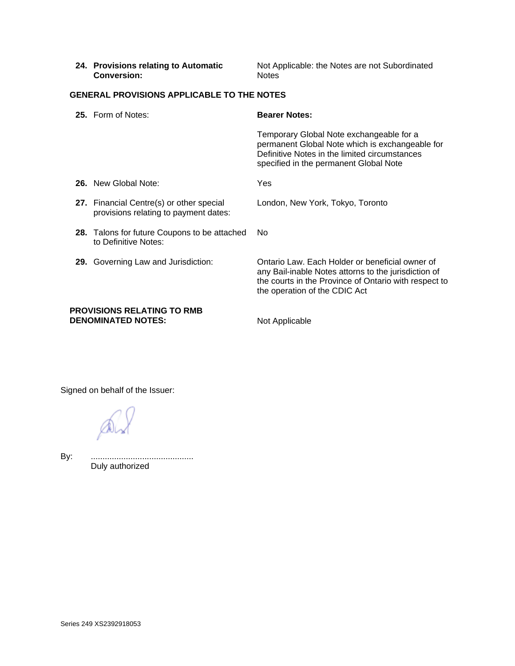| 24. Provisions relating to Automatic |
|--------------------------------------|
| <b>Conversion:</b>                   |

Not Applicable: the Notes are not Subordinated Notes

## **GENERAL PROVISIONS APPLICABLE TO THE NOTES**

| 25. Form of Notes:                                                                | <b>Bearer Notes:</b>                                                                                                                                                                              |
|-----------------------------------------------------------------------------------|---------------------------------------------------------------------------------------------------------------------------------------------------------------------------------------------------|
|                                                                                   | Temporary Global Note exchangeable for a<br>permanent Global Note which is exchangeable for<br>Definitive Notes in the limited circumstances<br>specified in the permanent Global Note            |
| <b>26.</b> New Global Note:                                                       | Yes                                                                                                                                                                                               |
| 27. Financial Centre(s) or other special<br>provisions relating to payment dates: | London, New York, Tokyo, Toronto                                                                                                                                                                  |
| 28. Talons for future Coupons to be attached<br>to Definitive Notes:              | No.                                                                                                                                                                                               |
| 29. Governing Law and Jurisdiction:                                               | Ontario Law. Each Holder or beneficial owner of<br>any Bail-inable Notes attorns to the jurisdiction of<br>the courts in the Province of Ontario with respect to<br>the operation of the CDIC Act |
| <b>PROVISIONS RELATING TO RMB</b><br><b>DENOMINATED NOTES:</b>                    | Not Applicable                                                                                                                                                                                    |

Signed on behalf of the Issuer:

By: ............................................ Duly authorized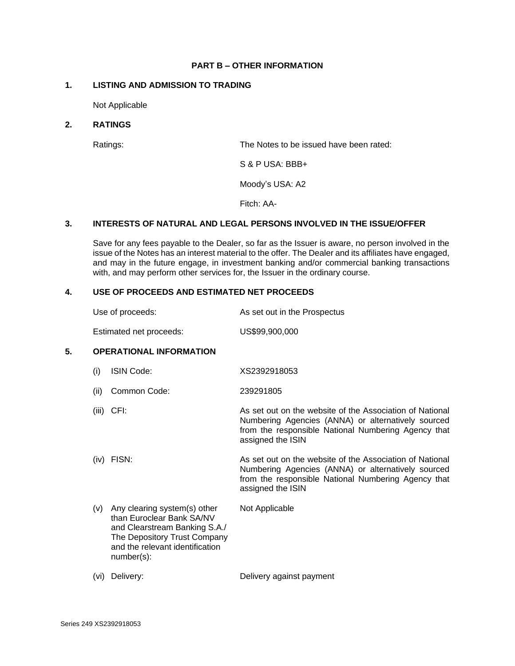#### **PART B – OTHER INFORMATION**

#### **1. LISTING AND ADMISSION TO TRADING**

Not Applicable

#### **2. RATINGS**

Ratings: The Notes to be issued have been rated:

S & P USA: BBB+

Moody's USA: A2

Fitch: AA-

## **3. INTERESTS OF NATURAL AND LEGAL PERSONS INVOLVED IN THE ISSUE/OFFER**

Save for any fees payable to the Dealer, so far as the Issuer is aware, no person involved in the issue of the Notes has an interest material to the offer. The Dealer and its affiliates have engaged, and may in the future engage, in investment banking and/or commercial banking transactions with, and may perform other services for, the Issuer in the ordinary course.

## **4. USE OF PROCEEDS AND ESTIMATED NET PROCEEDS**

| Use of proceeds: | As set out in the Prospectus |
|------------------|------------------------------|
|------------------|------------------------------|

Estimated net proceeds: US\$99,900,000

## **5. OPERATIONAL INFORMATION**

- (i) ISIN Code: XS2392918053
- (ii) Common Code: 239291805
- (iii) CFI: As set out on the website of the Association of National Numbering Agencies (ANNA) or alternatively sourced from the responsible National Numbering Agency that assigned the ISIN
- (iv) FISN: As set out on the website of the Association of National Numbering Agencies (ANNA) or alternatively sourced from the responsible National Numbering Agency that assigned the ISIN

Not Applicable

- (v) Any clearing system(s) other than Euroclear Bank SA/NV and Clearstream Banking S.A./ The Depository Trust Company and the relevant identification number(s):
- (vi) Delivery: Delivery against payment